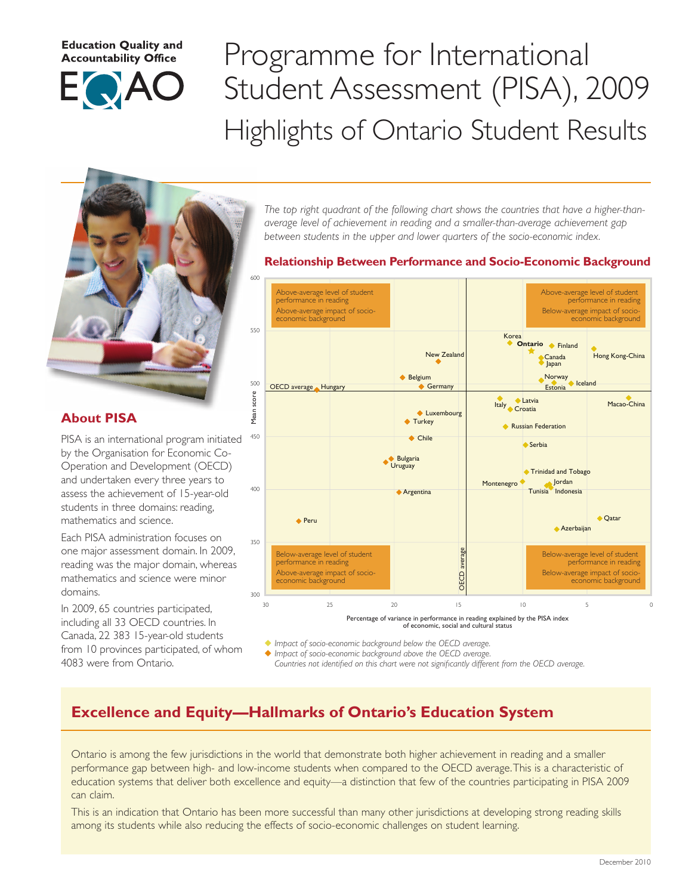#### **Education Quality and Accountability Office**



# Programme for International Student Assessment (PISA), 2009 Highlights of Ontario Student Results



## **About PISA**

PISA is an international program initiated by the Organisation for Economic Co-Operation and Development (OECD) and undertaken every three years to assess the achievement of 15-year-old students in three domains: reading, mathematics and science.

Each PISA administration focuses on one major assessment domain. In 2009, reading was the major domain, whereas mathematics and science were minor domains.

In 2009, 65 countries participated, including all 33 OECD countries. In Canada, 22 383 15-year-old students from 10 provinces participated, of whom 4083 were from Ontario.

*The top right quadrant of the following chart shows the countries that have a higher-thanaverage level of achievement in reading and a smaller-than-average achievement gap between students in the upper and lower quarters of the socio-economic index.*

## **Relationship Between Performance and Socio-Economic Background Relationship Between Performance and Socio-Economic Background**



Impact of socio-economic background below the OECD average. u *Impact of socio-economic background below the OECD average.*

Impact of socio-economic background above the OECD average. u *Impact of socio-economic background above the OECD average.*

Countries not identified on this chart were not significantly different from the OECD average.

## **Excellence and Equity—Hallmarks of Ontario's Education System and Direction From A.M. Estimate 1**

Ontario is among the few jurisdictions in the world that demonstrate both higher achievement in reading and a smaller performance gap between high- and low-income students when compared to the OECD average. This is a characteristic of education systems that deliver both excellence and equity—a distinction that few of the countries participating in PISA 2009 can claim.

This is an indication that Ontario has been more successful than many other jurisdictions at developing strong reading skills among its students while also reducing the effects of socio-economic challenges on student learning.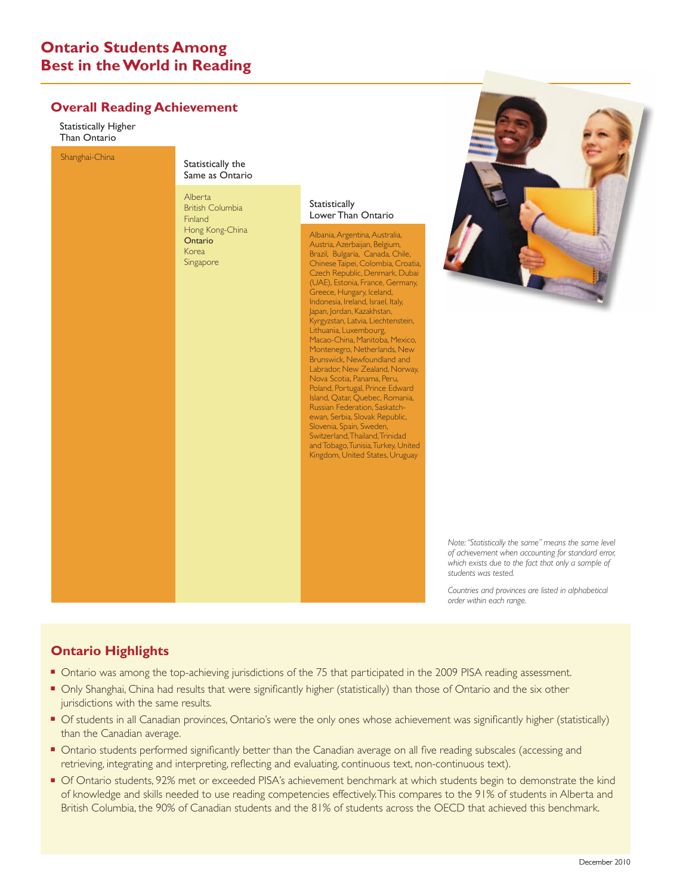## **Ontario Students Among Best in the World in Reading**

#### **Overall Reading Achievement**

Statistically Higher Than Ontario



*Note:"Statistically the same" means the same level of achievement when accounting for standard error, which exists due to the fact that only a sample of students was tested.*

*Countries and provinces are listed in alphabetical order within each range.*

## **Ontario Highlights**

- Ontario was among the top-achieving jurisdictions of the 75 that participated in the 2009 PISA reading assessment.
- Only Shanghai, China had results that were significantly higher (statistically) than those of Ontario and the six other invigilations with the sexes xecults jurisdictions with the same results.
- of students in all Canadian provinces, Ontario's were the only ones whose achievement was significantly higher (statistically) than the Canadian average.
- **Ontario students performed significantly better than the Canadian average on all five reading subscales (accessing and** retrieving, integrating and interpreting, reflecting and evaluating, continuous text, non-continuous text).
- Of Ontario students, 92% met or exceeded PISA's achievement benchmark at which students begin to demonstrate the kind of knowledge and skills needed to use reading competencies effectively. This compares to the 91% of students in Alberta and British Columbia, the 90% of Canadian students and the 81% of students across the OECD that achieved this benchmark.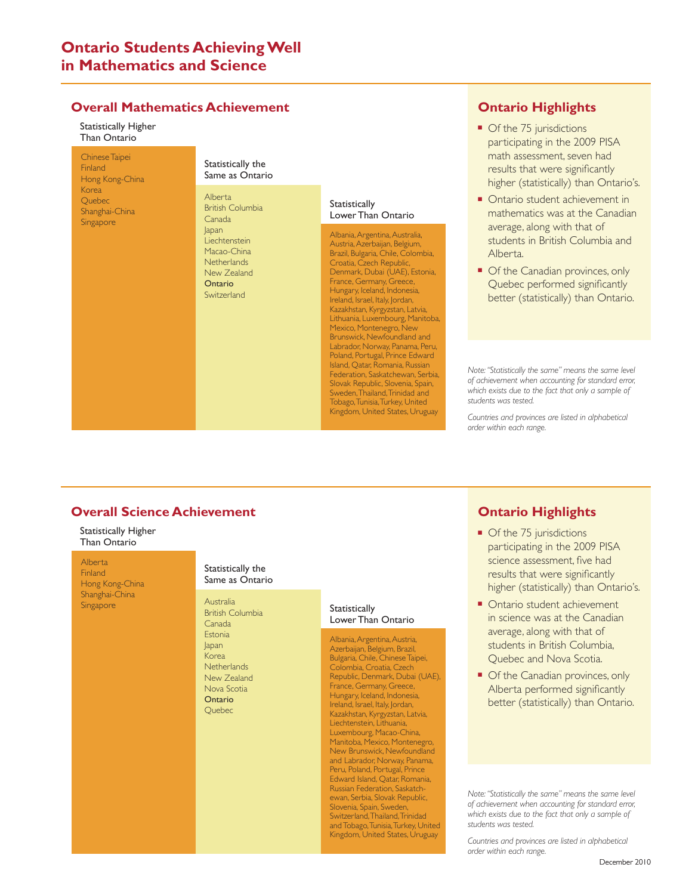## **Ontario Students Achieving Well in Mathematics and Science**

#### **Overall Mathematics Achievement**

Statistically Higher Than Ontario

Chinese Taipei Finland Hong Kong-China Korea Quebec Shanghai-China **Singapore** 

#### Statistically the Same as Ontario

Alberta British Columbia Canada Japan Liechtenstein Macao-China **Netherlands** New Zealand **Ontario** Switzerland

#### **Statistically** Lower Than Ontario

Albania,Argentina, Australia, Austria,Azerbaijan, Belgium, Brazil, Bulgaria, Chile, Colombia, Croatia, Czech Republic, Denmark, Dubai (UAE), Estonia, France, Germany, Greece, Hungary, Iceland, Indonesia, Ireland, Israel, Italy, Jordan, Kazakhstan, Kyrgyzstan, Latvia, Lithuania, Luxembourg, Manitoba, Mexico, Montenegro, New Brunswick, Newfoundland and Labrador, Norway, Panama, Peru, Poland, Portugal, Prince Edward Island, Qatar, Romania, Russian Federation, Saskatchewan, Serbia, Slovak Republic, Slovenia, Spain, Sweden,Thailand,Trinidad and Tobago, Tunisia,Turkey, United Kingdom, United States, Uruguay

## **Ontario Highlights**

- Of the 75 jurisdictions participating in the 2009 PISA math assessment, seven had results that were significantly higher (statistically) than Ontario's.
- Ontario student achievement in mathematics was at the Canadian average, along with that of students in British Columbia and Alberta.
- Of the Canadian provinces, only Quebec performed significantly better (statistically) than Ontario.

*Note:"Statistically the same" means the same level of achievement when accounting for standard error, which exists due to the fact that only a sample of students was tested.*

*Countries and provinces are listed in alphabetical order within each range.*

#### **Overall Science Achievement** CONFIDENTIAL TO DECEMBER 7, 2010 (5:00 A.M. EST)

Statistically Higher Statistically Thance<br>Than Ontario

Alberta

Finland Hong Kong-China Shanghai-China Singapore **Australia** 

#### Statistically the Same as Ontario

British Columbia Canada **Fstonia** Japan Korea **Netherlands** New Zealand Nova Scotia Ontario Quebec

#### **Statistically** Lower Than Ontario

Albania,Argentina, Austria, Azerbaijan, Belgium, Brazil, Bulgaria, Chile, Chinese Taipei, Colombia, Croatia, Czech Republic, Denmark, Dubai (UAE), France, Germany, Greece, Hungary, Iceland, Indonesia, Ireland, Israel, Italy, Jordan, Kazakhstan, Kyrgyzstan, Latvia, Liechtenstein, Lithuania, Luxembourg, Macao-China, Manitoba, Mexico, Montenegro, New Brunswick, Newfoundland and Labrador, Norway, Panama, Peru, Poland, Portugal, Prince Edward Island, Qatar, Romania, Russian Federation, Saskatchewan, Serbia, Slovak Republic, Slovenia, Spain, Sweden, Switzerland, Thailand, Trinidad and Tobago, Tunisia,Turkey, United Kingdom, United States, Uruguay

## **Ontario Highlights**

- Of the 75 jurisdictions participating in the 2009 PISA science assessment, five had results that were significantly higher (statistically) than Ontario's.
- Ontario student achievement in science was at the Canadian average, along with that of students in British Columbia, Quebec and Nova Scotia.
- Of the Canadian provinces, only Alberta performed significantly better (statistically) than Ontario.

*Note:"Statistically the same" means the same level of achievement when accounting for standard error, which exists due to the fact that only a sample of students was tested.*

*Countries and provinces are listed in alphabetical order within each range.*